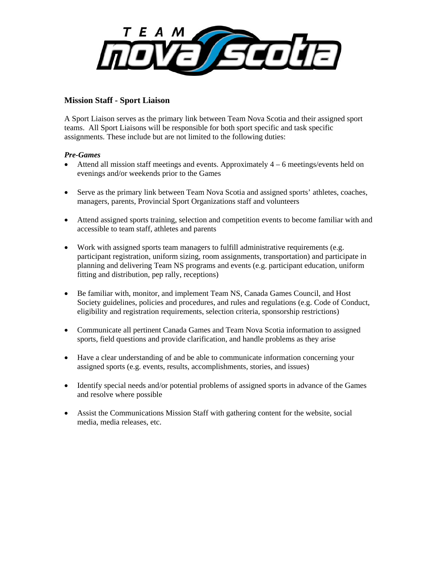

## **Mission Staff - Sport Liaison**

A Sport Liaison serves as the primary link between Team Nova Scotia and their assigned sport teams. All Sport Liaisons will be responsible for both sport specific and task specific assignments. These include but are not limited to the following duties:

## *Pre-Games*

- Attend all mission staff meetings and events. Approximately 4 6 meetings/events held on evenings and/or weekends prior to the Games
- Serve as the primary link between Team Nova Scotia and assigned sports' athletes, coaches, managers, parents, Provincial Sport Organizations staff and volunteers
- Attend assigned sports training, selection and competition events to become familiar with and accessible to team staff, athletes and parents
- Work with assigned sports team managers to fulfill administrative requirements (e.g. participant registration, uniform sizing, room assignments, transportation) and participate in planning and delivering Team NS programs and events (e.g. participant education, uniform fitting and distribution, pep rally, receptions)
- Be familiar with, monitor, and implement Team NS, Canada Games Council, and Host Society guidelines, policies and procedures, and rules and regulations (e.g. Code of Conduct, eligibility and registration requirements, selection criteria, sponsorship restrictions)
- Communicate all pertinent Canada Games and Team Nova Scotia information to assigned sports, field questions and provide clarification, and handle problems as they arise
- Have a clear understanding of and be able to communicate information concerning your assigned sports (e.g. events, results, accomplishments, stories, and issues)
- Identify special needs and/or potential problems of assigned sports in advance of the Games and resolve where possible
- Assist the Communications Mission Staff with gathering content for the website, social media, media releases, etc.